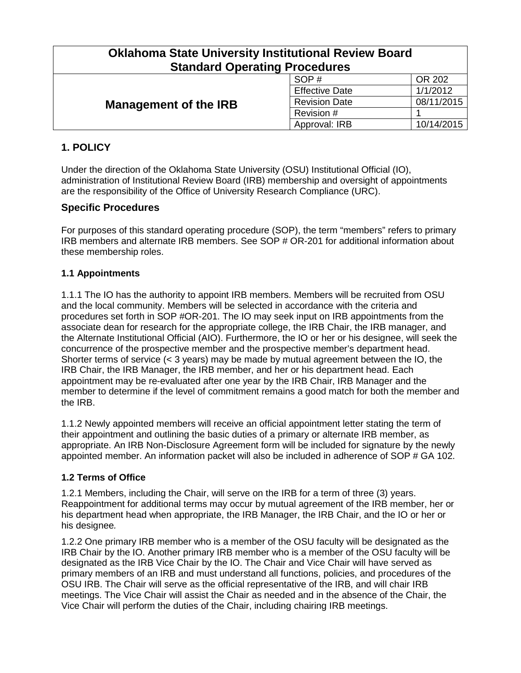| <b>Oklahoma State University Institutional Review Board</b><br><b>Standard Operating Procedures</b> |                       |            |  |
|-----------------------------------------------------------------------------------------------------|-----------------------|------------|--|
| <b>Management of the IRB</b>                                                                        | SOP#                  | OR 202     |  |
|                                                                                                     | <b>Effective Date</b> | 1/1/2012   |  |
|                                                                                                     | <b>Revision Date</b>  | 08/11/2015 |  |
|                                                                                                     | Revision #            |            |  |
|                                                                                                     | Approval: IRB         | 10/14/2015 |  |

# **1. POLICY**

Under the direction of the Oklahoma State University (OSU) Institutional Official (IO), administration of Institutional Review Board (IRB) membership and oversight of appointments are the responsibility of the Office of University Research Compliance (URC).

# **Specific Procedures**

For purposes of this standard operating procedure (SOP), the term "members" refers to primary IRB members and alternate IRB members. See SOP # OR-201 for additional information about these membership roles.

## **1.1 Appointments**

1.1.1 The IO has the authority to appoint IRB members. Members will be recruited from OSU and the local community. Members will be selected in accordance with the criteria and procedures set forth in SOP #OR-201. The IO may seek input on IRB appointments from the associate dean for research for the appropriate college, the IRB Chair, the IRB manager, and the Alternate Institutional Official (AIO). Furthermore, the IO or her or his designee, will seek the concurrence of the prospective member and the prospective member's department head. Shorter terms of service (< 3 years) may be made by mutual agreement between the IO, the IRB Chair, the IRB Manager, the IRB member, and her or his department head. Each appointment may be re-evaluated after one year by the IRB Chair, IRB Manager and the member to determine if the level of commitment remains a good match for both the member and the IRB.

1.1.2 Newly appointed members will receive an official appointment letter stating the term of their appointment and outlining the basic duties of a primary or alternate IRB member, as appropriate. An IRB Non-Disclosure Agreement form will be included for signature by the newly appointed member. An information packet will also be included in adherence of SOP # GA 102.

## **1.2 Terms of Office**

1.2.1 Members, including the Chair, will serve on the IRB for a term of three (3) years. Reappointment for additional terms may occur by mutual agreement of the IRB member, her or his department head when appropriate, the IRB Manager, the IRB Chair, and the IO or her or his designee*.*

1.2.2 One primary IRB member who is a member of the OSU faculty will be designated as the IRB Chair by the IO. Another primary IRB member who is a member of the OSU faculty will be designated as the IRB Vice Chair by the IO. The Chair and Vice Chair will have served as primary members of an IRB and must understand all functions, policies, and procedures of the OSU IRB. The Chair will serve as the official representative of the IRB, and will chair IRB meetings. The Vice Chair will assist the Chair as needed and in the absence of the Chair, the Vice Chair will perform the duties of the Chair, including chairing IRB meetings.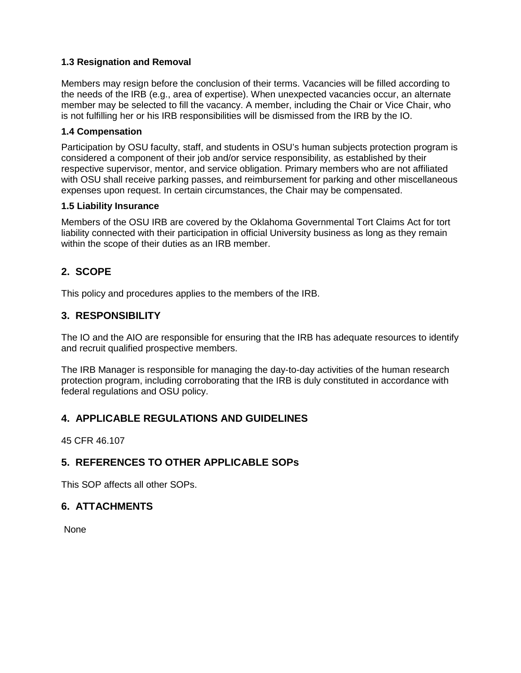#### **1.3 Resignation and Removal**

Members may resign before the conclusion of their terms. Vacancies will be filled according to the needs of the IRB (e.g., area of expertise). When unexpected vacancies occur, an alternate member may be selected to fill the vacancy. A member, including the Chair or Vice Chair, who is not fulfilling her or his IRB responsibilities will be dismissed from the IRB by the IO.

#### **1.4 Compensation**

Participation by OSU faculty, staff, and students in OSU's human subjects protection program is considered a component of their job and/or service responsibility, as established by their respective supervisor, mentor, and service obligation. Primary members who are not affiliated with OSU shall receive parking passes, and reimbursement for parking and other miscellaneous expenses upon request. In certain circumstances, the Chair may be compensated.

#### **1.5 Liability Insurance**

Members of the OSU IRB are covered by the Oklahoma Governmental Tort Claims Act for tort liability connected with their participation in official University business as long as they remain within the scope of their duties as an IRB member.

# **2. SCOPE**

This policy and procedures applies to the members of the IRB.

## **3. RESPONSIBILITY**

The IO and the AIO are responsible for ensuring that the IRB has adequate resources to identify and recruit qualified prospective members.

The IRB Manager is responsible for managing the day-to-day activities of the human research protection program, including corroborating that the IRB is duly constituted in accordance with federal regulations and OSU policy.

# **4. APPLICABLE REGULATIONS AND GUIDELINES**

45 CFR 46.107

## **5. REFERENCES TO OTHER APPLICABLE SOPs**

This SOP affects all other SOPs.

## **6. ATTACHMENTS**

None